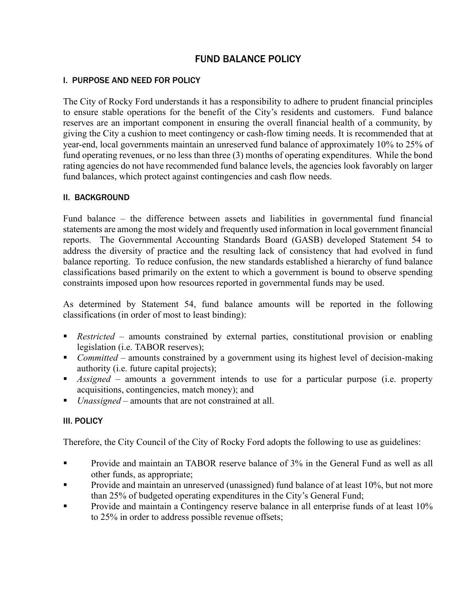# FUND BALANCE POLICY

### I. PURPOSE AND NEED FOR POLICY

The City of Rocky Ford understands it has a responsibility to adhere to prudent financial principles to ensure stable operations for the benefit of the City's residents and customers. Fund balance reserves are an important component in ensuring the overall financial health of a community, by giving the City a cushion to meet contingency or cash-flow timing needs. It is recommended that at year-end, local governments maintain an unreserved fund balance of approximately 10% to 25% of fund operating revenues, or no less than three (3) months of operating expenditures. While the bond rating agencies do not have recommended fund balance levels, the agencies look favorably on larger fund balances, which protect against contingencies and cash flow needs.

#### II. BACKGROUND

Fund balance – the difference between assets and liabilities in governmental fund financial statements are among the most widely and frequently used information in local government financial reports. The Governmental Accounting Standards Board (GASB) developed Statement 54 to address the diversity of practice and the resulting lack of consistency that had evolved in fund balance reporting. To reduce confusion, the new standards established a hierarchy of fund balance classifications based primarily on the extent to which a government is bound to observe spending constraints imposed upon how resources reported in governmental funds may be used.

As determined by Statement 54, fund balance amounts will be reported in the following classifications (in order of most to least binding):

- *Restricted* amounts constrained by external parties, constitutional provision or enabling legislation (i.e. TABOR reserves);
- *Committed* amounts constrained by a government using its highest level of decision-making authority (i.e. future capital projects);
- *Assigned* amounts a government intends to use for a particular purpose (i.e. property acquisitions, contingencies, match money); and
- *Unassigned* amounts that are not constrained at all.

#### III. POLICY

Therefore, the City Council of the City of Rocky Ford adopts the following to use as guidelines:

- Provide and maintain an TABOR reserve balance of 3% in the General Fund as well as all other funds, as appropriate;
- **•** Provide and maintain an unreserved (unassigned) fund balance of at least 10%, but not more than 25% of budgeted operating expenditures in the City's General Fund;
- Provide and maintain a Contingency reserve balance in all enterprise funds of at least 10% to 25% in order to address possible revenue offsets;